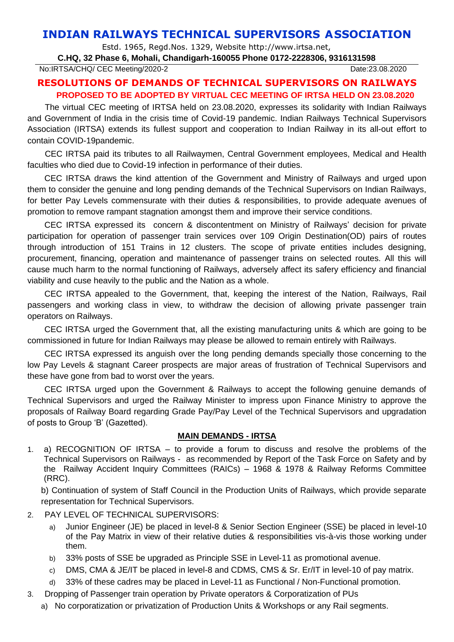## **INDIAN RAILWAYS TECHNICAL SUPERVISORS ASSOCIATION**

Estd. 1965, Regd.Nos. 1329, Website http://www.irtsa.net,

## **C.HQ, 32 Phase 6, Mohali, Chandigarh-160055 Phone 0172-2228306, 9316131598**

No:IRTSA/CHQ/ CEC Meeting/2020-2 Date:23.08.2020

## **RESOLUTIONS OF DEMANDS OF TECHNICAL SUPERVISORS ON RAILWAYS PROPOSED TO BE ADOPTED BY VIRTUAL CEC MEETING OF IRTSA HELD ON 23.08.2020**

The virtual CEC meeting of IRTSA held on 23.08.2020, expresses its solidarity with Indian Railways and Government of India in the crisis time of Covid-19 pandemic. Indian Railways Technical Supervisors Association (IRTSA) extends its fullest support and cooperation to Indian Railway in its all-out effort to contain COVID-19pandemic.

CEC IRTSA paid its tributes to all Railwaymen, Central Government employees, Medical and Health faculties who died due to Covid-19 infection in performance of their duties.

CEC IRTSA draws the kind attention of the Government and Ministry of Railways and urged upon them to consider the genuine and long pending demands of the Technical Supervisors on Indian Railways, for better Pay Levels commensurate with their duties & responsibilities, to provide adequate avenues of promotion to remove rampant stagnation amongst them and improve their service conditions.

CEC IRTSA expressed its concern & discontentment on Ministry of Railways' decision for private participation for operation of passenger train services over 109 Origin Destination(OD) pairs of routes through introduction of 151 Trains in 12 clusters. The scope of private entities includes designing, procurement, financing, operation and maintenance of passenger trains on selected routes. All this will cause much harm to the normal functioning of Railways, adversely affect its safery efficiency and financial viability and cuse heavily to the public and the Nation as a whole.

CEC IRTSA appealed to the Government, that, keeping the interest of the Nation, Railways, Rail passengers and working class in view, to withdraw the decision of allowing private passenger train operators on Railways.

CEC IRTSA urged the Government that, all the existing manufacturing units & which are going to be commissioned in future for Indian Railways may please be allowed to remain entirely with Railways.

CEC IRTSA expressed its anguish over the long pending demands specially those concerning to the low Pay Levels & stagnant Career prospects are major areas of frustration of Technical Supervisors and these have gone from bad to worst over the years.

CEC IRTSA urged upon the Government & Railways to accept the following genuine demands of Technical Supervisors and urged the Railway Minister to impress upon Finance Ministry to approve the proposals of Railway Board regarding Grade Pay/Pay Level of the Technical Supervisors and upgradation of posts to Group 'B' (Gazetted).

## **MAIN DEMANDS - IRTSA**

1. a) RECOGNITION OF IRTSA – to provide a forum to discuss and resolve the problems of the Technical Supervisors on Railways - as recommended by Report of the Task Force on Safety and by the Railway Accident Inquiry Committees (RAICs) – 1968 & 1978 & Railway Reforms Committee (RRC).

b) Continuation of system of Staff Council in the Production Units of Railways, which provide separate representation for Technical Supervisors.

- 2. PAY LEVEL OF TECHNICAL SUPERVISORS:
	- a) Junior Engineer (JE) be placed in level-8 & Senior Section Engineer (SSE) be placed in level-10 of the Pay Matrix in view of their relative duties & responsibilities vis-à-vis those working under them.
	- b) 33% posts of SSE be upgraded as Principle SSE in Level-11 as promotional avenue.
	- c) DMS, CMA & JE/IT be placed in level-8 and CDMS, CMS & Sr. Er/IT in level-10 of pay matrix.
	- d) 33% of these cadres may be placed in Level-11 as Functional / Non-Functional promotion.
- 3. Dropping of Passenger train operation by Private operators & Corporatization of PUs
	- a) No corporatization or privatization of Production Units & Workshops or any Rail segments.